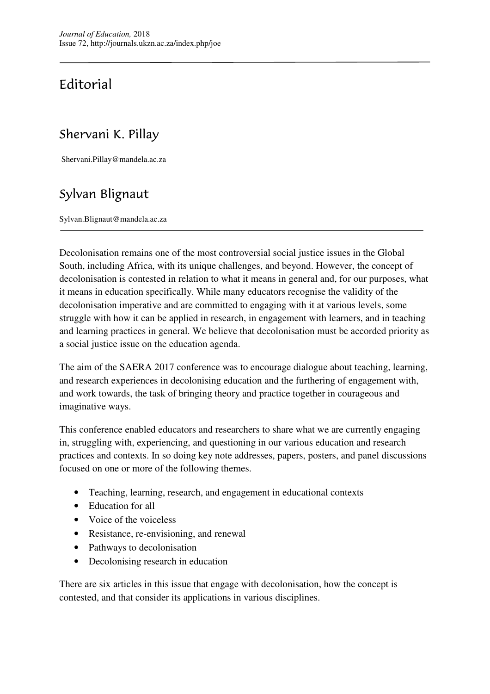## Editorial

## Shervani K. Pillay

Shervani.Pillay@mandela.ac.za

## Sylvan Blignaut

Sylvan.Blignaut@mandela.ac.za

Decolonisation remains one of the most controversial social justice issues in the Global South, including Africa, with its unique challenges, and beyond. However, the concept of decolonisation is contested in relation to what it means in general and, for our purposes, what it means in education specifically. While many educators recognise the validity of the decolonisation imperative and are committed to engaging with it at various levels, some struggle with how it can be applied in research, in engagement with learners, and in teaching and learning practices in general. We believe that decolonisation must be accorded priority as a social justice issue on the education agenda.

The aim of the SAERA 2017 conference was to encourage dialogue about teaching, learning, and research experiences in decolonising education and the furthering of engagement with, and work towards, the task of bringing theory and practice together in courageous and imaginative ways.

This conference enabled educators and researchers to share what we are currently engaging in, struggling with, experiencing, and questioning in our various education and research practices and contexts. In so doing key note addresses, papers, posters, and panel discussions focused on one or more of the following themes.

- Teaching, learning, research, and engagement in educational contexts
- Education for all
- Voice of the voiceless
- Resistance, re-envisioning, and renewal
- Pathways to decolonisation
- Decolonising research in education

There are six articles in this issue that engage with decolonisation, how the concept is contested, and that consider its applications in various disciplines.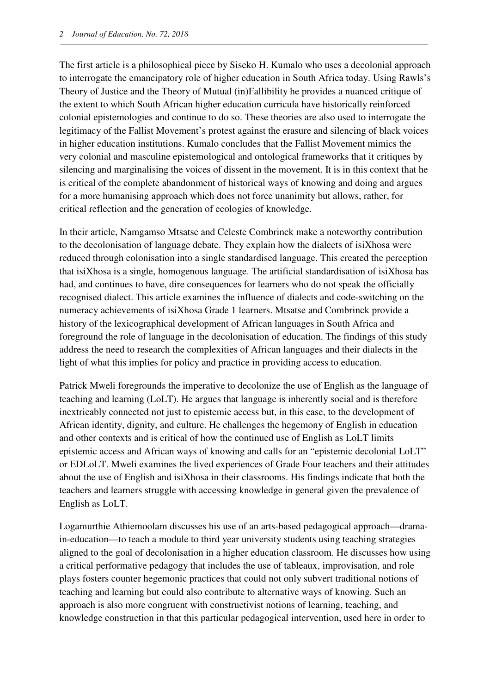The first article is a philosophical piece by Siseko H. Kumalo who uses a decolonial approach to interrogate the emancipatory role of higher education in South Africa today. Using Rawls's Theory of Justice and the Theory of Mutual (in)Fallibility he provides a nuanced critique of the extent to which South African higher education curricula have historically reinforced colonial epistemologies and continue to do so. These theories are also used to interrogate the legitimacy of the Fallist Movement's protest against the erasure and silencing of black voices in higher education institutions. Kumalo concludes that the Fallist Movement mimics the very colonial and masculine epistemological and ontological frameworks that it critiques by silencing and marginalising the voices of dissent in the movement. It is in this context that he is critical of the complete abandonment of historical ways of knowing and doing and argues for a more humanising approach which does not force unanimity but allows, rather, for critical reflection and the generation of ecologies of knowledge.

In their article, Namgamso Mtsatse and Celeste Combrinck make a noteworthy contribution to the decolonisation of language debate. They explain how the dialects of isiXhosa were reduced through colonisation into a single standardised language. This created the perception that isiXhosa is a single, homogenous language. The artificial standardisation of isiXhosa has had, and continues to have, dire consequences for learners who do not speak the officially recognised dialect. This article examines the influence of dialects and code-switching on the numeracy achievements of isiXhosa Grade 1 learners. Mtsatse and Combrinck provide a history of the lexicographical development of African languages in South Africa and foreground the role of language in the decolonisation of education. The findings of this study address the need to research the complexities of African languages and their dialects in the light of what this implies for policy and practice in providing access to education.

Patrick Mweli foregrounds the imperative to decolonize the use of English as the language of teaching and learning (LoLT). He argues that language is inherently social and is therefore inextricably connected not just to epistemic access but, in this case, to the development of African identity, dignity, and culture. He challenges the hegemony of English in education and other contexts and is critical of how the continued use of English as LoLT limits epistemic access and African ways of knowing and calls for an "epistemic decolonial LoLT" or EDLoLT. Mweli examines the lived experiences of Grade Four teachers and their attitudes about the use of English and isiXhosa in their classrooms. His findings indicate that both the teachers and learners struggle with accessing knowledge in general given the prevalence of English as LoLT.

Logamurthie Athiemoolam discusses his use of an arts-based pedagogical approach—dramain-education—to teach a module to third year university students using teaching strategies aligned to the goal of decolonisation in a higher education classroom. He discusses how using a critical performative pedagogy that includes the use of tableaux, improvisation, and role plays fosters counter hegemonic practices that could not only subvert traditional notions of teaching and learning but could also contribute to alternative ways of knowing. Such an approach is also more congruent with constructivist notions of learning, teaching, and knowledge construction in that this particular pedagogical intervention, used here in order to